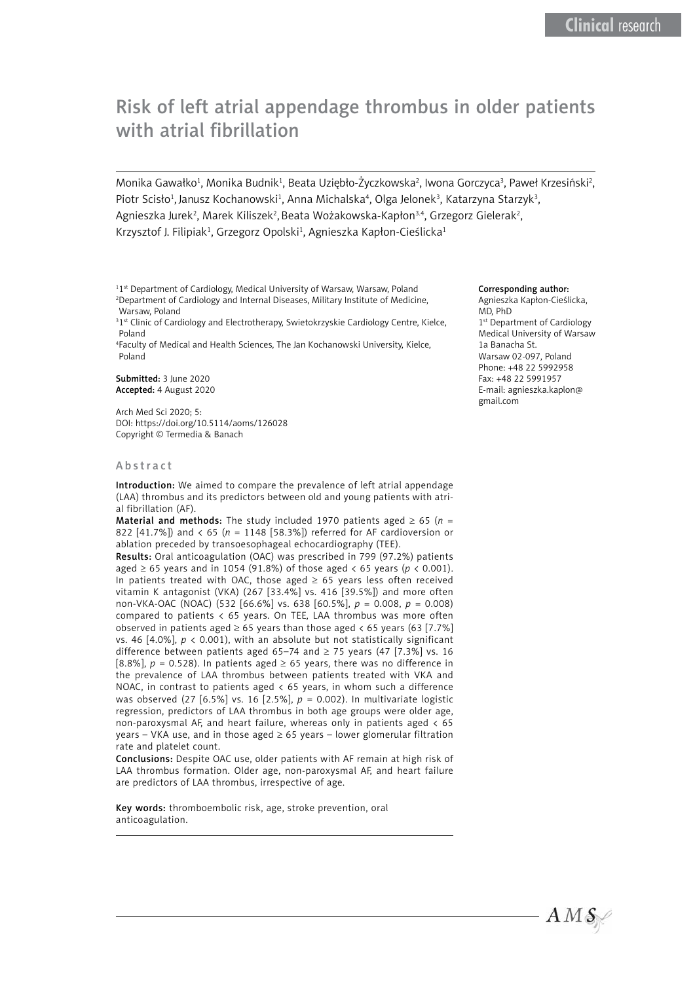# Risk of left atrial appendage thrombus in older patients with atrial fibrillation

Monika Gawałko<sup>1</sup>, Monika Budnik<sup>1</sup>, Beata Uziębło-Życzkowska<sup>2</sup>, Iwona Gorczyca<sup>3</sup>, Paweł Krzesiński<sup>2</sup>, Piotr Scisło<sup>1</sup>, Janusz Kochanowski<sup>1</sup>, Anna Michalska<sup>4</sup>, Olga Jelonek<sup>3</sup>, Katarzyna Starzyk<sup>3</sup>, Agnieszka Jurek<sup>2</sup>, Marek Kiliszek<sup>2</sup>, Beata Wożakowska-Kapłon<sup>3.4</sup>, Grzegorz Gielerak<sup>2</sup>, Krzysztof J. Filipiak<sup>1</sup>, Grzegorz Opolski<sup>1</sup>, Agnieszka Kapłon-Cieślicka<sup>1</sup>

<sup>1</sup>1<sup>st</sup> Department of Cardiology, Medical University of Warsaw, Warsaw, Poland 2 Department of Cardiology and Internal Diseases, Military Institute of Medicine, Warsaw, Poland

<sup>31st</sup> Clinic of Cardiology and Electrotherapy, Swietokrzyskie Cardiology Centre, Kielce, Poland

4 Faculty of Medical and Health Sciences, The Jan Kochanowski University, Kielce, Poland

Submitted: 3 June 2020 Accepted: 4 August 2020

Arch Med Sci 2020; 5: DOI: https://doi.org/10.5114/aoms/126028 Copyright © Termedia & Banach

#### Abstract

Introduction: We aimed to compare the prevalence of left atrial appendage (LAA) thrombus and its predictors between old and young patients with atrial fibrillation (AF).

**Material and methods:** The study included 1970 patients aged  $\geq 65$  ( $n =$ 822 [41.7%]) and < 65 (*n* = 1148 [58.3%]) referred for AF cardioversion or ablation preceded by transoesophageal echocardiography (TEE).

Results: Oral anticoagulation (OAC) was prescribed in 799 (97.2%) patients aged  $\geq$  65 years and in 1054 (91.8%) of those aged < 65 years ( $p$  < 0.001). In patients treated with OAC, those aged  $\geq 65$  years less often received vitamin K antagonist (VKA) (267 [33.4%] vs. 416 [39.5%]) and more often non-VKA-OAC (NOAC) (532 [66.6%] vs. 638 [60.5%], *p* = 0.008, *p* = 0.008) compared to patients < 65 years. On TEE, LAA thrombus was more often observed in patients aged  $\geq 65$  years than those aged < 65 years (63 [7.7%] vs. 46 [4.0%],  $p < 0.001$ ), with an absolute but not statistically significant difference between patients aged 65–74 and  $\geq$  75 years (47 [7.3%] vs. 16 [8.8%],  $p = 0.528$ ). In patients aged  $\geq 65$  years, there was no difference in the prevalence of LAA thrombus between patients treated with VKA and NOAC, in contrast to patients aged  $\lt 65$  years, in whom such a difference was observed (27 [6.5%] vs. 16 [2.5%], *p* = 0.002). In multivariate logistic regression, predictors of LAA thrombus in both age groups were older age, non-paroxysmal AF, and heart failure, whereas only in patients aged  $\langle$  65 years – VKA use, and in those aged  $\geq$  65 years – lower glomerular filtration rate and platelet count.

Conclusions: Despite OAC use, older patients with AF remain at high risk of LAA thrombus formation. Older age, non-paroxysmal AF, and heart failure are predictors of LAA thrombus, irrespective of age.

Key words: thromboembolic risk, age, stroke prevention, oral anticoagulation.

#### Corresponding author:

Agnieszka Kapłon-Cieślicka, MD, PhD 1<sup>st</sup> Department of Cardiology Medical University of Warsaw 1a Banacha St. Warsaw 02-097, Poland Phone: +48 22 5992958 Fax: +48 22 5991957 E-mail: [agnieszka.kaplon@](mailto:agnieszka.kaplon@gmail.com) [gmail.com](mailto:agnieszka.kaplon@gmail.com)

 $AMS$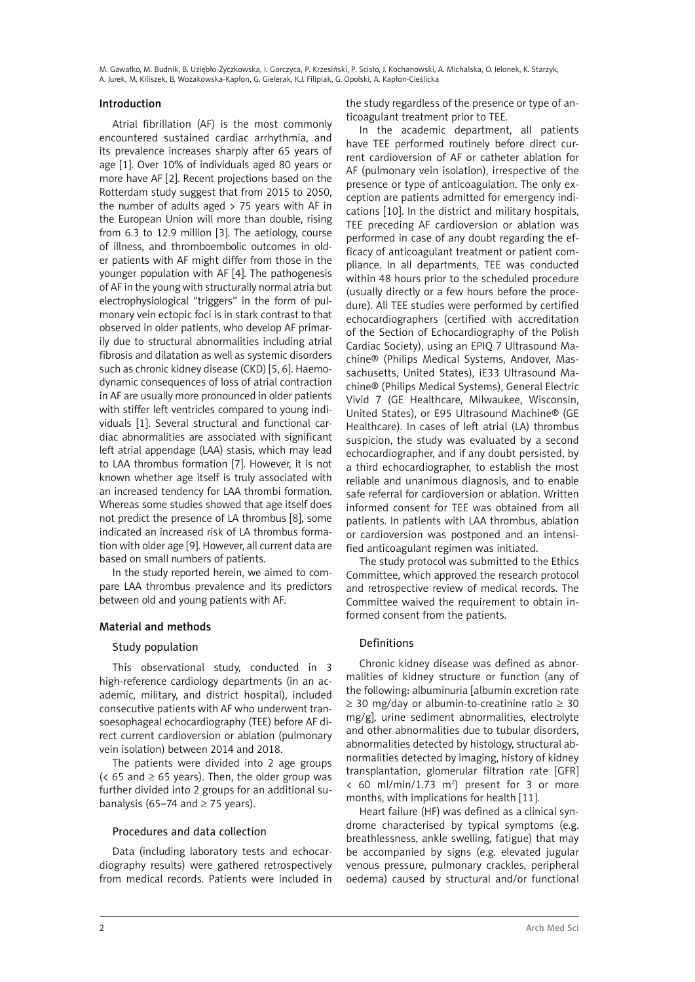### Introduction

Atrial fibrillation (AF) is the most commonly encountered sustained cardiac arrhythmia, and its prevalence increases sharply after 65 years of age [1]. Over 10% of individuals aged 80 years or more have AF [2]. Recent projections based on the Rotterdam study suggest that from 2015 to 2050, the number of adults aged  $> 75$  years with AF in the European Union will more than double, rising from 6.3 to 12.9 million [3]. The aetiology, course of illness, and thromboembolic outcomes in older patients with AF might differ from those in the younger population with AF [4]. The pathogenesis of AF in the young with structurally normal atria but electrophysiological "triggers" in the form of pulmonary vein ectopic foci is in stark contrast to that observed in older patients, who develop AF primarily due to structural abnormalities including atrial fibrosis and dilatation as well as systemic disorders such as chronic kidney disease (CKD) [5, 6]. Haemodynamic consequences of loss of atrial contraction in AF are usually more pronounced in older patients with stiffer left ventricles compared to young individuals [1]. Several structural and functional cardiac abnormalities are associated with significant left atrial appendage (LAA) stasis, which may lead to LAA thrombus formation [7]. However, it is not known whether age itself is truly associated with an increased tendency for LAA thrombi formation. Whereas some studies showed that age itself does not predict the presence of LA thrombus [8], some indicated an increased risk of LA thrombus formation with older age [9]. However, all current data are based on small numbers of patients.

In the study reported herein, we aimed to compare LAA thrombus prevalence and its predictors between old and young patients with AF.

# Material and methods

# Study population

This observational study, conducted in 3 high-reference cardiology departments (in an academic, military, and district hospital), included consecutive patients with AF who underwent transoesophageal echocardiography (TEE) before AF direct current cardioversion or ablation (pulmonary vein isolation) between 2014 and 2018.

The patients were divided into 2 age groups  $(65 \text{ and } 65 \text{ years})$ . Then, the older group was further divided into 2 groups for an additional subanalysis (65–74 and  $\geq$  75 years).

# Procedures and data collection

Data (including laboratory tests and echocardiography results) were gathered retrospectively from medical records. Patients were included in the study regardless of the presence or type of anticoagulant treatment prior to TEE.

In the academic department, all patients have TEE performed routinely before direct current cardioversion of AF or catheter ablation for AF (pulmonary vein isolation), irrespective of the presence or type of anticoagulation. The only exception are patients admitted for emergency indications [10]. In the district and military hospitals, TEE preceding AF cardioversion or ablation was performed in case of any doubt regarding the efficacy of anticoagulant treatment or patient compliance. In all departments, TEE was conducted within 48 hours prior to the scheduled procedure (usually directly or a few hours before the procedure). All TEE studies were performed by certified echocardiographers (certified with accreditation of the Section of Echocardiography of the Polish Cardiac Society), using an EPIQ 7 Ultrasound Machine® (Philips Medical Systems, Andover, Massachusetts, United States), iE33 Ultrasound Machine® (Philips Medical Systems), General Electric Vivid 7 (GE Healthcare, Milwaukee, Wisconsin, United States), or E95 Ultrasound Machine® (GE Healthcare). In cases of left atrial (LA) thrombus suspicion, the study was evaluated by a second echocardiographer, and if any doubt persisted, by a third echocardiographer, to establish the most reliable and unanimous diagnosis, and to enable safe referral for cardioversion or ablation. Written informed consent for TEE was obtained from all patients. In patients with LAA thrombus, ablation or cardioversion was postponed and an intensified anticoagulant regimen was initiated.

The study protocol was submitted to the Ethics Committee, which approved the research protocol and retrospective review of medical records. The Committee waived the requirement to obtain informed consent from the patients.

# Definitions

Chronic kidney disease was defined as abnormalities of kidney structure or function (any of the following: albuminuria [albumin excretion rate ≥ 30 mg/day or albumin-to-creatinine ratio ≥ 30 mg/g], urine sediment abnormalities, electrolyte and other abnormalities due to tubular disorders, abnormalities detected by histology, structural abnormalities detected by imaging, history of kidney transplantation, glomerular filtration rate [GFR]  $<$  60 ml/min/1.73 m<sup>2</sup>) present for 3 or more months, with implications for health [11].

Heart failure (HF) was defined as a clinical syndrome characterised by typical symptoms (e.g. breathlessness, ankle swelling, fatigue) that may be accompanied by signs (e.g. elevated jugular venous pressure, pulmonary crackles, peripheral oedema) caused by structural and/or functional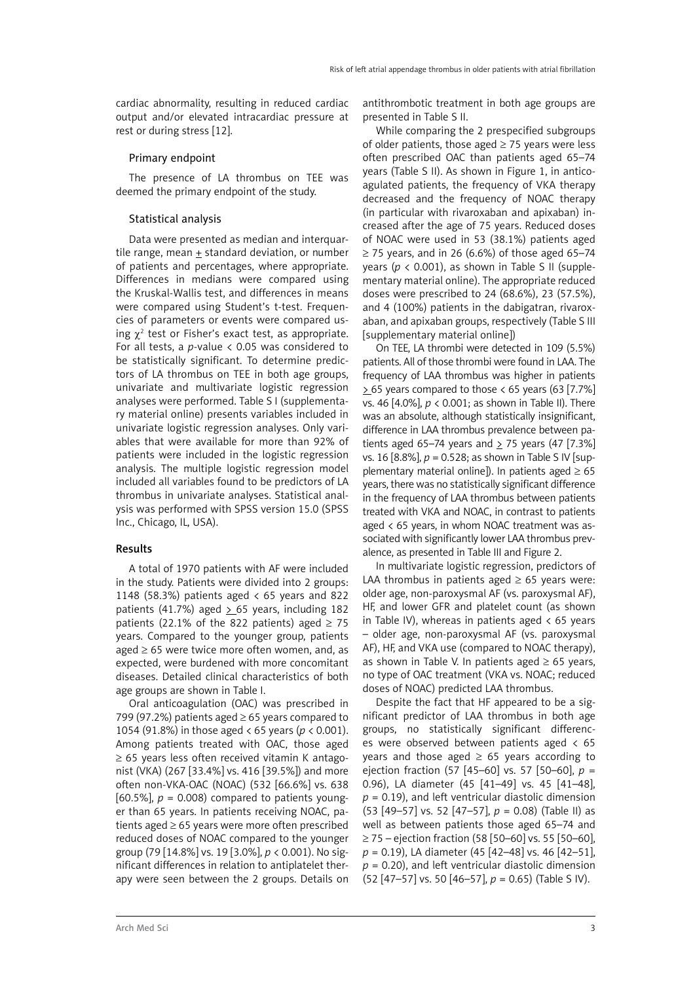cardiac abnormality, resulting in reduced cardiac output and/or elevated intracardiac pressure at rest or during stress [12].

#### Primary endpoint

The presence of LA thrombus on TEE was deemed the primary endpoint of the study.

### Statistical analysis

Data were presented as median and interquartile range, mean + standard deviation, or number of patients and percentages, where appropriate. Differences in medians were compared using the Kruskal-Wallis test, and differences in means were compared using Student's t-test. Frequencies of parameters or events were compared using  $\chi^2$  test or Fisher's exact test, as appropriate. For all tests, a *p*-value < 0.05 was considered to be statistically significant. To determine predictors of LA thrombus on TEE in both age groups, univariate and multivariate logistic regression analyses were performed. Table S I (supplementary material online) presents variables included in univariate logistic regression analyses. Only variables that were available for more than 92% of patients were included in the logistic regression analysis. The multiple logistic regression model included all variables found to be predictors of LA thrombus in univariate analyses. Statistical analysis was performed with SPSS version 15.0 (SPSS Inc., Chicago, IL, USA).

# Results

A total of 1970 patients with AF were included in the study. Patients were divided into 2 groups: 1148 (58.3%) patients aged < 65 years and 822 patients (41.7%) aged  $> 65$  years, including 182 patients (22.1% of the 822 patients) aged  $\geq$  75 years. Compared to the younger group, patients aged  $\geq 65$  were twice more often women, and, as expected, were burdened with more concomitant diseases. Detailed clinical characteristics of both age groups are shown in Table I.

Oral anticoagulation (OAC) was prescribed in 799 (97.2%) patients aged  $\geq$  65 years compared to 1054 (91.8%) in those aged < 65 years (*p* < 0.001). Among patients treated with OAC, those aged ≥ 65 years less often received vitamin K antagonist (VKA) (267 [33.4%] vs. 416 [39.5%]) and more often non-VKA-OAC (NOAC) (532 [66.6%] vs. 638 [60.5%],  $p = 0.008$ ] compared to patients younger than 65 years. In patients receiving NOAC, patients aged ≥ 65 years were more often prescribed reduced doses of NOAC compared to the younger group (79 [14.8%] vs. 19 [3.0%], *p* < 0.001). No significant differences in relation to antiplatelet therapy were seen between the 2 groups. Details on antithrombotic treatment in both age groups are presented in Table S II.

While comparing the 2 prespecified subgroups of older patients, those aged  $\geq$  75 years were less often prescribed OAC than patients aged 65–74 years (Table S II). As shown in Figure 1, in anticoagulated patients, the frequency of VKA therapy decreased and the frequency of NOAC therapy (in particular with rivaroxaban and apixaban) increased after the age of 75 years. Reduced doses of NOAC were used in 53 (38.1%) patients aged  $\geq$  75 years, and in 26 (6.6%) of those aged 65–74 years ( $p < 0.001$ ), as shown in Table S II (supplementary material online). The appropriate reduced doses were prescribed to 24 (68.6%), 23 (57.5%), and 4 (100%) patients in the dabigatran, rivaroxaban, and apixaban groups, respectively (Table S III [supplementary material online])

On TEE, LA thrombi were detected in 109 (5.5%) patients. All of those thrombi were found in LAA. The frequency of LAA thrombus was higher in patients  $> 65$  years compared to those < 65 years (63 [7.7%] vs. 46 [4.0%], *p* < 0.001; as shown in Table II). There was an absolute, although statistically insignificant, difference in LAA thrombus prevalence between patients aged 65–74 years and  $>$  75 years (47 [7.3%] vs. 16 [8.8%], *p* = 0.528; as shown in Table S IV [supplementary material online]). In patients aged  $\geq 65$ years, there was no statistically significant difference in the frequency of LAA thrombus between patients treated with VKA and NOAC, in contrast to patients aged < 65 years, in whom NOAC treatment was associated with significantly lower LAA thrombus prevalence, as presented in Table III and Figure 2.

In multivariate logistic regression, predictors of LAA thrombus in patients aged  $\geq 65$  years were: older age, non-paroxysmal AF (vs. paroxysmal AF), HF, and lower GFR and platelet count (as shown in Table IV), whereas in patients aged  $\lt 65$  years – older age, non-paroxysmal AF (vs. paroxysmal AF), HF, and VKA use (compared to NOAC therapy), as shown in Table V. In patients aged  $\geq 65$  years, no type of OAC treatment (VKA vs. NOAC; reduced doses of NOAC) predicted LAA thrombus.

Despite the fact that HF appeared to be a significant predictor of LAA thrombus in both age groups, no statistically significant differences were observed between patients aged < 65 years and those aged  $\geq$  65 years according to ejection fraction (57 [45–60] vs. 57 [50–60], *p* = 0.96), LA diameter (45 [41–49] vs. 45 [41–48],  $p = 0.19$ ), and left ventricular diastolic dimension (53 [49–57] vs. 52 [47–57], *p* = 0.08) (Table II) as well as between patients those aged 65–74 and ≥ 75 – ejection fraction (58 [50–60] vs. 55 [50–60], *p* = 0.19), LA diameter (45 [42–48] vs. 46 [42–51],  $p = 0.20$ ), and left ventricular diastolic dimension (52 [47–57] vs. 50 [46–57], *p* = 0.65) (Table S IV).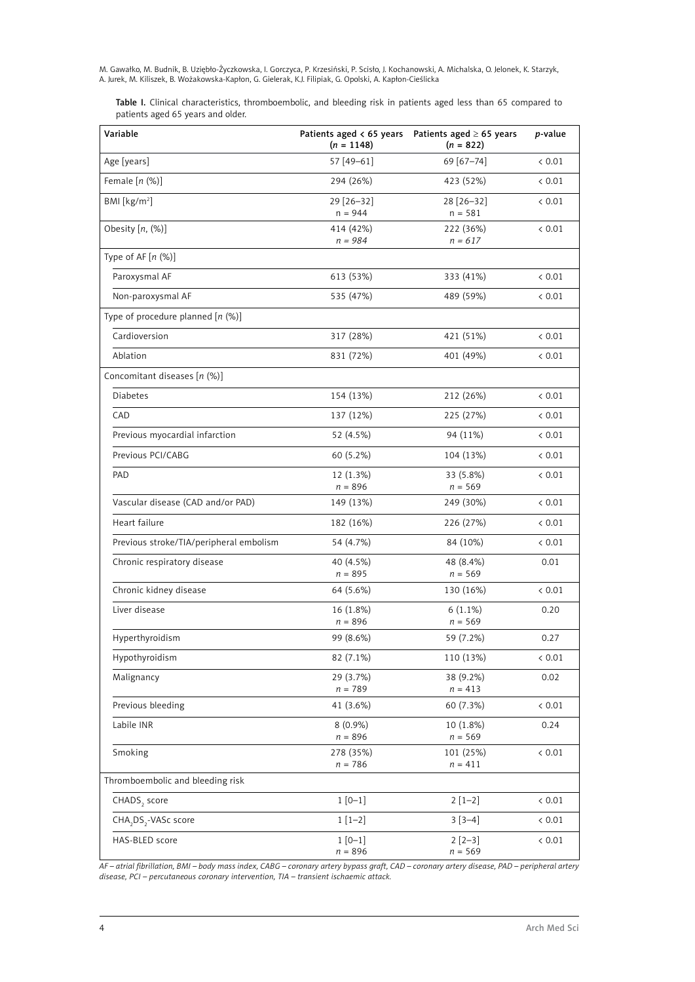Table I. Clinical characteristics, thromboembolic, and bleeding risk in patients aged less than 65 compared to patients aged 65 years and older.

| Variable                                     | $(n = 1148)$                                      | Patients aged $\lt 65$ years Patients aged $\ge 65$ years<br>$(n = 822)$ | <i>p</i> -value |  |
|----------------------------------------------|---------------------------------------------------|--------------------------------------------------------------------------|-----------------|--|
| Age [years]                                  | 57 [49-61]                                        | 69 [67-74]                                                               | < 0.01          |  |
| Female $[n (%)]$                             | 294 (26%)                                         | 423 (52%)                                                                | < 0.01          |  |
| BMI [ $kg/m2$ ]                              | 29 [26-32]<br>$n = 944$                           | 28 [26-32]<br>$n = 581$                                                  | < 0.01          |  |
| Obesity $[n, (\%)]$                          | 414 (42%)<br>$n = 984$                            | 222 (36%)<br>$n = 617$                                                   | < 0.01          |  |
| Type of AF $[n (%)]$                         |                                                   |                                                                          |                 |  |
| Paroxysmal AF                                | 613 (53%)                                         | 333 (41%)                                                                | & 0.01          |  |
| Non-paroxysmal AF                            | 535 (47%)                                         | 489 (59%)                                                                | < 0.01          |  |
| Type of procedure planned $[n \ (\%)]$       |                                                   |                                                                          |                 |  |
| Cardioversion                                | 317 (28%)                                         | 421 (51%)                                                                | < 0.01          |  |
| Ablation                                     | 831 (72%)                                         | 401 (49%)                                                                | < 0.01          |  |
| Concomitant diseases [n (%)]                 |                                                   |                                                                          |                 |  |
| <b>Diabetes</b>                              | 154 (13%)                                         | 212 (26%)                                                                | < 0.01          |  |
| CAD                                          | 137 (12%)                                         | 225 (27%)                                                                | < 0.01          |  |
| Previous myocardial infarction               | 52 (4.5%)                                         | 94 (11%)                                                                 | < 0.01          |  |
| Previous PCI/CABG                            | 60 (5.2%)                                         | 104 (13%)                                                                | < 0.01          |  |
| PAD                                          | 12 (1.3%)                                         | 33 (5.8%)                                                                | < 0.01          |  |
| Vascular disease (CAD and/or PAD)            | $n = 896$                                         | $n = 569$                                                                | < 0.01          |  |
|                                              | 149 (13%)                                         | 249 (30%)                                                                |                 |  |
| Heart failure                                | 182 (16%)                                         | 226 (27%)                                                                | < 0.01          |  |
| Previous stroke/TIA/peripheral embolism      | 54 (4.7%)                                         | 84 (10%)                                                                 | < 0.01          |  |
| Chronic respiratory disease                  | 40 (4.5%)<br>$n = 895$                            | 48 (8.4%)<br>$n = 569$                                                   | 0.01            |  |
| Chronic kidney disease                       | 64 (5.6%)                                         | 130 (16%)                                                                | < 0.01          |  |
| Liver disease                                | 16 (1.8%)                                         | $6(1.1\%)$                                                               | 0.20            |  |
| Hyperthyroidism                              | $n = 896$<br>99 (8.6%)                            | $n = 569$<br>59 (7.2%)                                                   | 0.27            |  |
| Hypothyroidism                               | 82 (7.1%)                                         |                                                                          |                 |  |
|                                              | 29 (3.7%)                                         | 110 (13%)                                                                | < 0.01          |  |
| Malignancy                                   | $n=789\,$                                         | 38 (9.2%)<br>$n = 413$                                                   | 0.02            |  |
| Previous bleeding                            | 41 (3.6%)                                         | 60 (7.3%)                                                                | < 0.01          |  |
| Labile INR                                   | $8(0.9\%)$<br>10 (1.8%)<br>$n = 896$<br>$n = 569$ |                                                                          | 0.24            |  |
| Smoking                                      | 278 (35%)<br>101 (25%)<br>$n = 786$<br>$n = 411$  |                                                                          | $< 0.01\,$      |  |
| Thromboembolic and bleeding risk             |                                                   |                                                                          |                 |  |
| CHADS <sub>2</sub> score                     | $1[0-1]$                                          | $2[1-2]$                                                                 | < 0.01          |  |
| CHA <sub>2</sub> DS <sub>2</sub> -VASc score | $1[1-2]$                                          | $3[3-4]$                                                                 | < 0.01          |  |
| HAS-BLED score                               | $1[0-1]$<br>$n = 896$                             | $2[2-3]$<br>$n = 569$                                                    | < 0.01          |  |

*AF – atrial fibrillation, BMI – body mass index, CABG – coronary artery bypass graft, CAD – coronary artery disease, PAD – peripheral artery disease, PCI – percutaneous coronary intervention, TIA – transient ischaemic attack.*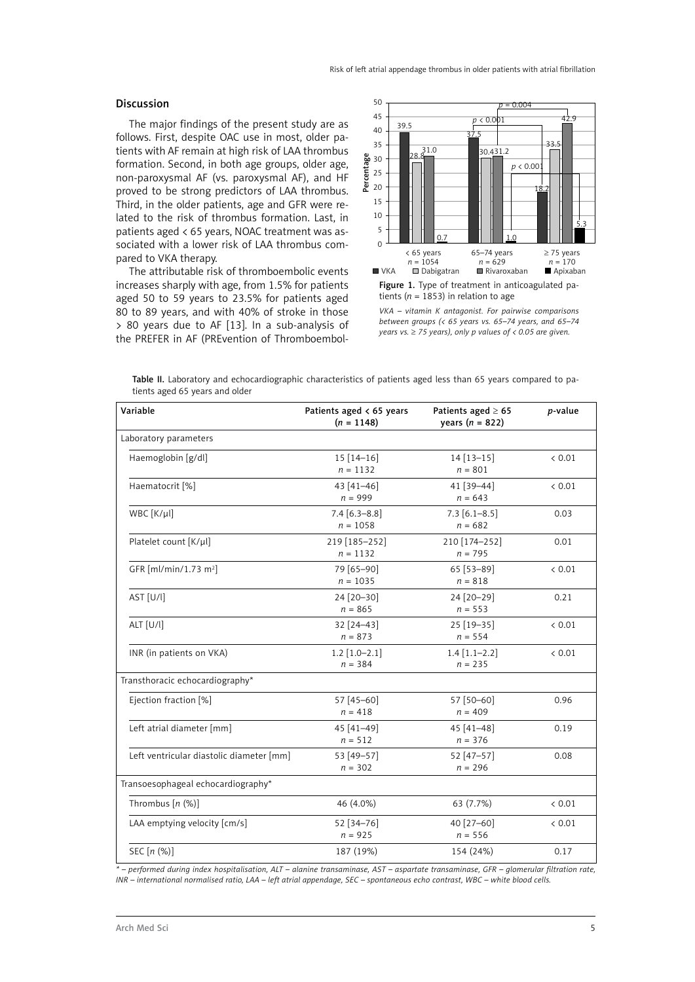#### Discussion

The major findings of the present study are as follows. First, despite OAC use in most, older patients with AF remain at high risk of LAA thrombus formation. Second, in both age groups, older age, non-paroxysmal AF (vs. paroxysmal AF), and HF proved to be strong predictors of LAA thrombus. Third, in the older patients, age and GFR were related to the risk of thrombus formation. Last, in patients aged < 65 years, NOAC treatment was associated with a lower risk of LAA thrombus compared to VKA therapy.

The attributable risk of thromboembolic events increases sharply with age, from 1.5% for patients aged 50 to 59 years to 23.5% for patients aged 80 to 89 years, and with 40% of stroke in those > 80 years due to AF [13]. In a sub-analysis of the PREFER in AF (PREvention of Thromboembol-





*VKA – vitamin K antagonist. For pairwise comparisons between groups (< 65 years vs. 65–74 years, and 65–74 years vs.* ≥ *75 years), only p values of < 0.05 are given.*

Table II. Laboratory and echocardiographic characteristics of patients aged less than 65 years compared to patients aged 65 years and older

| Variable                                 | Patients aged $\lt 65$ years<br>$(n = 1148)$ | Patients aged $\geq 65$<br>years ( $n = 822$ ) | p-value |
|------------------------------------------|----------------------------------------------|------------------------------------------------|---------|
| Laboratory parameters                    |                                              |                                                |         |
| Haemoglobin [g/dl]                       | $15[14-16]$<br>$n = 1132$                    | $14[13-15]$<br>$n = 801$                       | < 0.01  |
| Haematocrit [%]                          | 43 [41-46]<br>$n = 999$                      | 41 [39-44]<br>$n = 643$                        | < 0.01  |
| WBC [K/µl]                               | $7.4$ [6.3-8.8]<br>$n = 1058$                | $7.3$ [6.1-8.5]<br>$n = 682$                   | 0.03    |
| Platelet count [K/µl]                    | 219 [185-252]<br>$n = 1132$                  | 210 [174-252]<br>$n = 795$                     | 0.01    |
| GFR [ml/min/1.73 m <sup>2</sup> ]        | 79 [65-90]<br>$n = 1035$                     | 65 [53-89]<br>$n = 818$                        | < 0.01  |
| AST [U/l]                                | 24 [20-30]<br>$n = 865$                      | 24 [20-29]<br>$n = 553$                        | 0.21    |
| ALT [U/l]                                | 32 [24-43]<br>$n = 873$                      | 25 [19-35]<br>$n = 554$                        | < 0.01  |
| INR (in patients on VKA)                 | $1.2$ [1.0-2.1]<br>$n = 384$                 | $1.4$ [1.1-2.2]<br>$n = 235$                   | < 0.01  |
| Transthoracic echocardiography*          |                                              |                                                |         |
| Ejection fraction [%]                    | 57 [45-60]<br>$n = 418$                      | 57 [50-60]<br>$n = 409$                        | 0.96    |
| Left atrial diameter [mm]                | 45 [41-49]<br>$n = 512$                      | 45 [41-48]<br>$n = 376$                        | 0.19    |
| Left ventricular diastolic diameter [mm] | 53 [49-57]<br>$n = 302$                      | 52 [47-57]<br>$n = 296$                        | 0.08    |
| Transoesophageal echocardiography*       |                                              |                                                |         |
| Thrombus $[n (%)]$                       | 46 (4.0%)                                    | 63 (7.7%)                                      | < 0.01  |
| LAA emptying velocity [cm/s]             | 52 [34-76]<br>$n = 925$                      | 40 [27-60]<br>$n = 556$                        | < 0.01  |
| SEC [n (%)]                              | 187 (19%)                                    | 154 (24%)                                      | 0.17    |

*\* – performed during index hospitalisation, ALT – alanine transaminase, AST – aspartate transaminase, GFR – glomerular filtration rate, INR – international normalised ratio, LAA – left atrial appendage, SEC – spontaneous echo contrast, WBC – white blood cells.*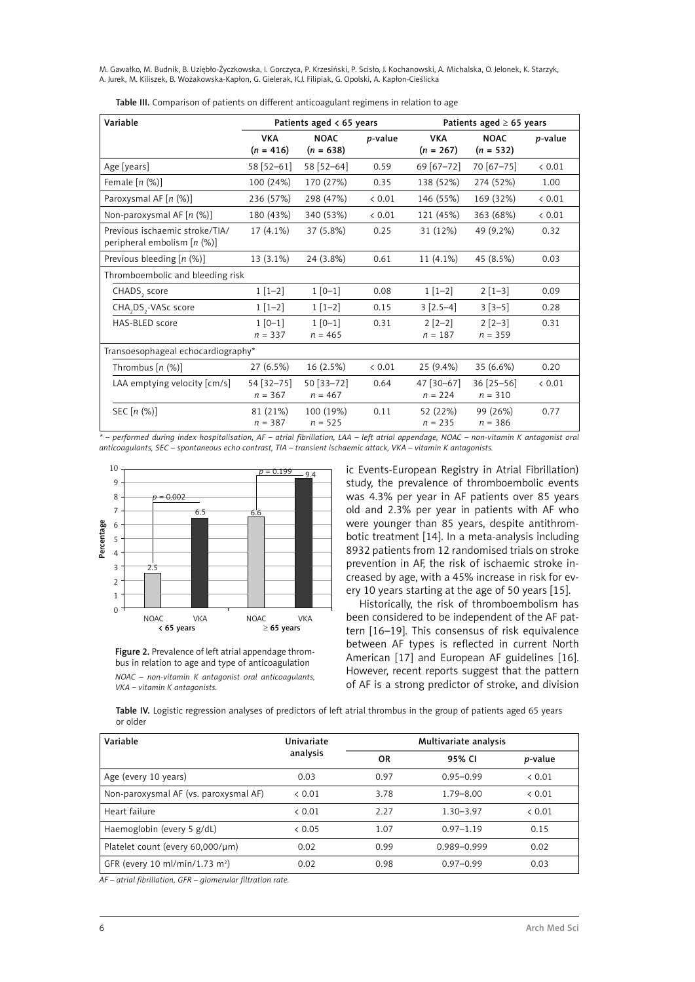| Variable                                                           | Patients aged $\lt 65$ years |                            | Patients aged $\geq 65$ years |                           |                            |                 |
|--------------------------------------------------------------------|------------------------------|----------------------------|-------------------------------|---------------------------|----------------------------|-----------------|
|                                                                    | <b>VKA</b><br>$(n = 416)$    | <b>NOAC</b><br>$(n = 638)$ | <i>p</i> -value               | <b>VKA</b><br>$(n = 267)$ | <b>NOAC</b><br>$(n = 532)$ | <i>p</i> -value |
| Age [years]                                                        | 58 [52-61]                   | 58 [52-64]                 | 0.59                          | 69 [67-72]                | 70 [67-75]                 | 0.01            |
| Female $[n (%)]$                                                   | 100 (24%)                    | 170 (27%)                  | 0.35                          | 138 (52%)                 | 274 (52%)                  | 1.00            |
| Paroxysmal AF [n (%)]                                              | 236 (57%)                    | 298 (47%)                  | & 0.01                        | 146 (55%)                 | 169 (32%)                  | & 0.01          |
| Non-paroxysmal AF $[n (%)]$                                        | 180 (43%)                    | 340 (53%)                  | & 0.01                        | 121 (45%)                 | 363 (68%)                  | < 0.01          |
| Previous ischaemic stroke/TIA/<br>peripheral embolism $[n \ (\%)]$ | 17 (4.1%)                    | 37 (5.8%)                  | 0.25                          | 31 (12%)                  | 49 (9.2%)                  | 0.32            |
| Previous bleeding $[n (%)]$                                        | 13 (3.1%)                    | 24 (3.8%)                  | 0.61                          | 11 (4.1%)                 | 45 (8.5%)                  | 0.03            |
| Thromboembolic and bleeding risk                                   |                              |                            |                               |                           |                            |                 |
| CHADS, score                                                       | $1[1-2]$                     | $1 [0-1]$                  | 0.08                          | $1[1-2]$                  | $2[1-3]$                   | 0.09            |
| CHA, DS,-VASc score                                                | $1[1-2]$                     | $1[1-2]$                   | 0.15                          | $3 [2.5-4]$               | $3[3-5]$                   | 0.28            |
| HAS-BLED score                                                     | $1[0-1]$<br>$n = 337$        | $1[0-1]$<br>$n = 465$      | 0.31                          | $2 [2-2]$<br>$n = 187$    | $2$ [2-3]<br>$n = 359$     | 0.31            |
| Transoesophageal echocardiography*                                 |                              |                            |                               |                           |                            |                 |
| Thrombus $[n (%)]$                                                 | 27 (6.5%)                    | 16 (2.5%)                  | < 0.01                        | 25 (9.4%)                 | 35 (6.6%)                  | 0.20            |
| LAA emptying velocity [cm/s]                                       | 54 [32-75]<br>$n = 367$      | 50 [33-72]<br>$n = 467$    | 0.64                          | 47 [30-67]<br>$n = 224$   | $36$ [25-56]<br>$n = 310$  | < 0.01          |
| SEC $[n (%)]$                                                      | 81 (21%)<br>$n = 387$        | 100 (19%)<br>$n = 525$     | 0.11                          | 52 (22%)<br>$n = 235$     | 99 (26%)<br>$n = 386$      | 0.77            |

Table III. Comparison of patients on different anticoagulant regimens in relation to age

*\* – performed during index hospitalisation, AF – atrial fibrillation, LAA – left atrial appendage, NOAC – non-vitamin K antagonist oral anticoagulants, SEC – spontaneous echo contrast, TIA – transient ischaemic attack, VKA – vitamin K antagonists.*



Figure 2. Prevalence of left atrial appendage thrombus in relation to age and type of anticoagulation *NOAC – non-vitamin K antagonist oral anticoagulants, VKA – vitamin K antagonists.*

ic Events-European Registry in Atrial Fibrillation) study, the prevalence of thromboembolic events was 4.3% per year in AF patients over 85 years old and 2.3% per year in patients with AF who were younger than 85 years, despite antithrombotic treatment [14]. In a meta-analysis including 8932 patients from 12 randomised trials on stroke prevention in AF, the risk of ischaemic stroke increased by age, with a 45% increase in risk for every 10 years starting at the age of 50 years [15].

Historically, the risk of thromboembolism has been considered to be independent of the AF pattern [16–19]. This consensus of risk equivalence between AF types is reflected in current North American [17] and European AF guidelines [16]. However, recent reports suggest that the pattern of AF is a strong predictor of stroke, and division

Table IV. Logistic regression analyses of predictors of left atrial thrombus in the group of patients aged 65 years or older

| Variable                                   | Univariate |      | Multivariate analysis |                 |  |
|--------------------------------------------|------------|------|-----------------------|-----------------|--|
|                                            | analysis   | OR   | 95% CI                | <i>p</i> -value |  |
| Age (every 10 years)                       | 0.03       | 0.97 | $0.95 - 0.99$         | & 0.01          |  |
| Non-paroxysmal AF (vs. paroxysmal AF)      | & 0.01     | 3.78 | $1.79 - 8.00$         | & 0.01          |  |
| Heart failure                              | & 0.01     | 2.27 | $1.30 - 3.97$         | & 0.01          |  |
| Haemoglobin (every 5 g/dL)                 | & 0.05     | 1.07 | $0.97 - 1.19$         | 0.15            |  |
| Platelet count (every 60,000/µm)           | 0.02       | 0.99 | 0.989-0.999           | 0.02            |  |
| GFR (every 10 ml/min/1.73 m <sup>2</sup> ) | 0.02       | 0.98 | $0.97 - 0.99$         | 0.03            |  |

*AF – atrial fibrillation, GFR – glomerular filtration rate.*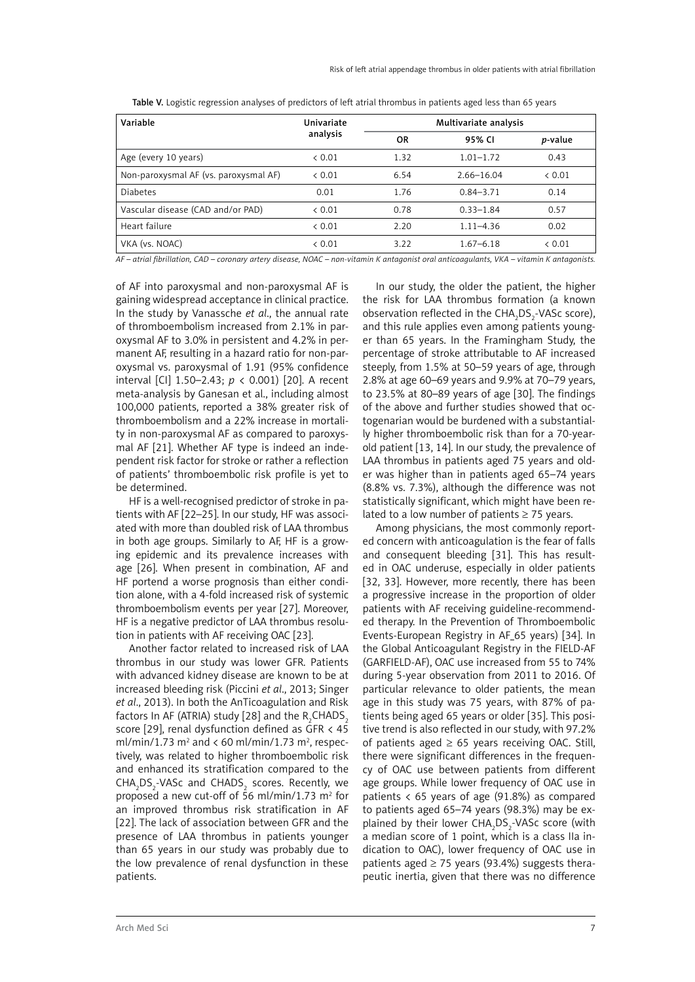| Variable                              | Univariate |      | Multivariate analysis |                 |  |  |
|---------------------------------------|------------|------|-----------------------|-----------------|--|--|
|                                       | analysis   | 0R   | 95% CI                | <i>p</i> -value |  |  |
| Age (every 10 years)                  | & 0.01     | 1.32 | $1.01 - 1.72$         | 0.43            |  |  |
| Non-paroxysmal AF (vs. paroxysmal AF) | & 0.01     | 6.54 | $2.66 - 16.04$        | & 0.01          |  |  |
| <b>Diabetes</b>                       | 0.01       | 1.76 | $0.84 - 3.71$         | 0.14            |  |  |
| Vascular disease (CAD and/or PAD)     | & 0.01     | 0.78 | $0.33 - 1.84$         | 0.57            |  |  |
| Heart failure                         | & 0.01     | 2.20 | $1.11 - 4.36$         | 0.02            |  |  |
| VKA (vs. NOAC)                        | & 0.01     | 3.22 | $1.67 - 6.18$         | & 0.01          |  |  |

Table V. Logistic regression analyses of predictors of left atrial thrombus in patients aged less than 65 years

*AF – atrial fibrillation, CAD – coronary artery disease, NOAC – non-vitamin K antagonist oral anticoagulants, VKA – vitamin K antagonists.*

of AF into paroxysmal and non-paroxysmal AF is gaining widespread acceptance in clinical practice. In the study by Vanassche *et al*., the annual rate of thromboembolism increased from 2.1% in paroxysmal AF to 3.0% in persistent and 4.2% in permanent AF, resulting in a hazard ratio for non-paroxysmal vs. paroxysmal of 1.91 (95% confidence interval [CI] 1.50–2.43; *p* < 0.001) [20]. A recent meta-analysis by Ganesan et al., including almost 100,000 patients, reported a 38% greater risk of thromboembolism and a 22% increase in mortality in non-paroxysmal AF as compared to paroxysmal AF [21]. Whether AF type is indeed an independent risk factor for stroke or rather a reflection of patients' thromboembolic risk profile is yet to be determined.

HF is a well-recognised predictor of stroke in patients with AF [22–25]. In our study, HF was associated with more than doubled risk of LAA thrombus in both age groups. Similarly to AF, HF is a growing epidemic and its prevalence increases with age [26]. When present in combination, AF and HF portend a worse prognosis than either condition alone, with a 4-fold increased risk of systemic thromboembolism events per year [27]. Moreover, HF is a negative predictor of LAA thrombus resolution in patients with AF receiving OAC [23].

Another factor related to increased risk of LAA thrombus in our study was lower GFR. Patients with advanced kidney disease are known to be at increased bleeding risk (Piccini *et al*., 2013; Singer *et al*., 2013). In both the AnTicoagulation and Risk factors In AF (ATRIA) study [28] and the R<sub>2</sub>CHADS<sub>2</sub> score [29], renal dysfunction defined as GFR < 45 ml/min/1.73  $m^2$  and < 60 ml/min/1.73  $m^2$ , respectively, was related to higher thromboembolic risk and enhanced its stratification compared to the  $\text{CHA}_2\text{DS}_2\text{-}\text{VASc}$  and  $\text{CHADS}_2$  scores. Recently, we proposed a new cut-off of 56 ml/min/1.73  $m^2$  for an improved thrombus risk stratification in AF [22]. The lack of association between GFR and the presence of LAA thrombus in patients younger than 65 years in our study was probably due to the low prevalence of renal dysfunction in these patients.

In our study, the older the patient, the higher the risk for LAA thrombus formation (a known observation reflected in the  $CHA<sub>2</sub>DS<sub>2</sub>$ -VASc score), and this rule applies even among patients younger than 65 years. In the Framingham Study, the percentage of stroke attributable to AF increased steeply, from 1.5% at 50–59 years of age, through 2.8% at age 60–69 years and 9.9% at 70–79 years, to 23.5% at 80–89 years of age [30]. The findings of the above and further studies showed that octogenarian would be burdened with a substantially higher thromboembolic risk than for a 70-yearold patient [13, 14]. In our study, the prevalence of LAA thrombus in patients aged 75 years and older was higher than in patients aged 65–74 years (8.8% vs. 7.3%), although the difference was not statistically significant, which might have been related to a low number of patients  $\geq$  75 years.

Among physicians, the most commonly reported concern with anticoagulation is the fear of falls and consequent bleeding [31]. This has resulted in OAC underuse, especially in older patients [32, 33]. However, more recently, there has been a progressive increase in the proportion of older patients with AF receiving guideline-recommended therapy. In the Prevention of Thromboembolic Events-European Registry in AF 65 years) [34]. In the Global Anticoagulant Registry in the FIELD-AF (GARFIELD-AF), OAC use increased from 55 to 74% during 5-year observation from 2011 to 2016. Of particular relevance to older patients, the mean age in this study was 75 years, with 87% of patients being aged 65 years or older [35]. This positive trend is also reflected in our study, with 97.2% of patients aged  $\geq$  65 years receiving OAC. Still, there were significant differences in the frequency of OAC use between patients from different age groups. While lower frequency of OAC use in patients  $\langle 65 \rangle$  years of age (91.8%) as compared to patients aged 65–74 years (98.3%) may be explained by their lower  $CHA<sub>2</sub>DS<sub>2</sub>$ -VASc score (with a median score of 1 point, which is a class IIa indication to OAC), lower frequency of OAC use in patients aged  $\geq$  75 years (93.4%) suggests therapeutic inertia, given that there was no difference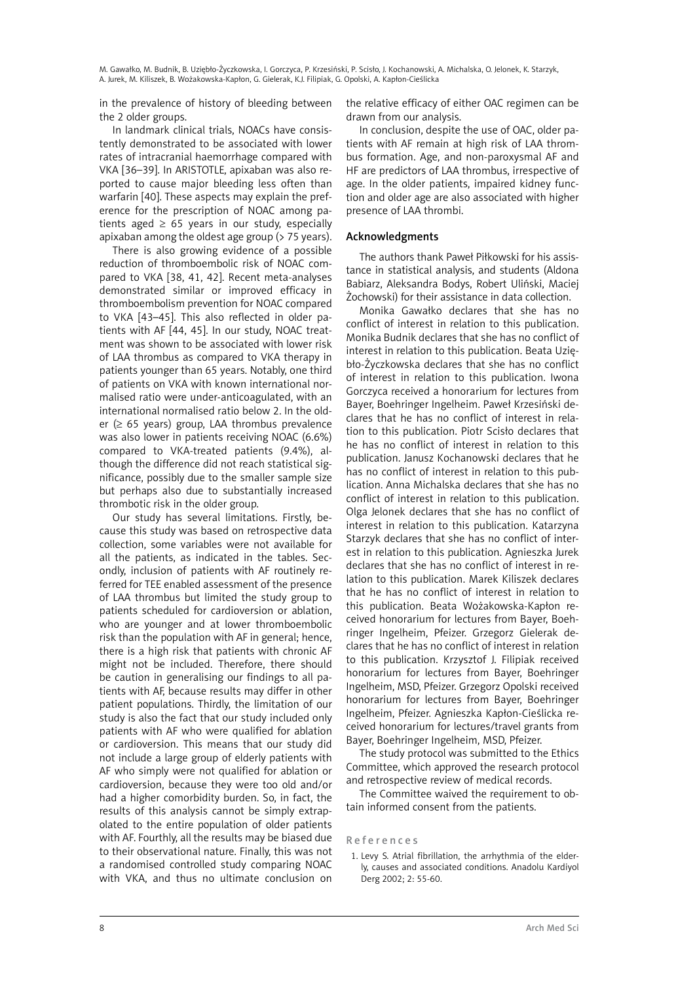in the prevalence of history of bleeding between the 2 older groups.

In landmark clinical trials, NOACs have consistently demonstrated to be associated with lower rates of intracranial haemorrhage compared with VKA [36–39]. In ARISTOTLE, apixaban was also reported to cause major bleeding less often than warfarin [40]. These aspects may explain the preference for the prescription of NOAC among patients aged  $\geq 65$  years in our study, especially apixaban among the oldest age group (> 75 years).

There is also growing evidence of a possible reduction of thromboembolic risk of NOAC compared to VKA [38, 41, 42]. Recent meta-analyses demonstrated similar or improved efficacy in thromboembolism prevention for NOAC compared to VKA [43–45]. This also reflected in older patients with AF [44, 45]. In our study, NOAC treatment was shown to be associated with lower risk of LAA thrombus as compared to VKA therapy in patients younger than 65 years. Notably, one third of patients on VKA with known international normalised ratio were under-anticoagulated, with an international normalised ratio below 2. In the older ( $\geq$  65 years) group, LAA thrombus prevalence was also lower in patients receiving NOAC (6.6%) compared to VKA-treated patients (9.4%), although the difference did not reach statistical significance, possibly due to the smaller sample size but perhaps also due to substantially increased thrombotic risk in the older group.

Our study has several limitations. Firstly, because this study was based on retrospective data collection, some variables were not available for all the patients, as indicated in the tables. Secondly, inclusion of patients with AF routinely referred for TEE enabled assessment of the presence of LAA thrombus but limited the study group to patients scheduled for cardioversion or ablation, who are younger and at lower thromboembolic risk than the population with AF in general; hence, there is a high risk that patients with chronic AF might not be included. Therefore, there should be caution in generalising our findings to all patients with AF, because results may differ in other patient populations. Thirdly, the limitation of our study is also the fact that our study included only patients with AF who were qualified for ablation or cardioversion. This means that our study did not include a large group of elderly patients with AF who simply were not qualified for ablation or cardioversion, because they were too old and/or had a higher comorbidity burden. So, in fact, the results of this analysis cannot be simply extrapolated to the entire population of older patients with AF. Fourthly, all the results may be biased due to their observational nature. Finally, this was not a randomised controlled study comparing NOAC with VKA, and thus no ultimate conclusion on

the relative efficacy of either OAC regimen can be drawn from our analysis.

In conclusion, despite the use of OAC, older patients with AF remain at high risk of LAA thrombus formation. Age, and non-paroxysmal AF and HF are predictors of LAA thrombus, irrespective of age. In the older patients, impaired kidney function and older age are also associated with higher presence of LAA thrombi.

# Acknowledgments

The authors thank Paweł Piłkowski for his assistance in statistical analysis, and students (Aldona Babiarz, Aleksandra Bodys, Robert Uliński, Maciej Żochowski) for their assistance in data collection.

Monika Gawałko declares that she has no conflict of interest in relation to this publication. Monika Budnik declares that she has no conflict of interest in relation to this publication. Beata Uziębło-Życzkowska declares that she has no conflict of interest in relation to this publication. Iwona Gorczyca received a honorarium for lectures from Bayer, Boehringer Ingelheim. Paweł Krzesiński declares that he has no conflict of interest in relation to this publication. Piotr Scisło declares that he has no conflict of interest in relation to this publication. Janusz Kochanowski declares that he has no conflict of interest in relation to this publication. Anna Michalska declares that she has no conflict of interest in relation to this publication. Olga Jelonek declares that she has no conflict of interest in relation to this publication. Katarzyna Starzyk declares that she has no conflict of interest in relation to this publication. Agnieszka Jurek declares that she has no conflict of interest in relation to this publication. Marek Kiliszek declares that he has no conflict of interest in relation to this publication. Beata Wożakowska-Kapłon received honorarium for lectures from Bayer, Boehringer Ingelheim, Pfeizer. Grzegorz Gielerak declares that he has no conflict of interest in relation to this publication. Krzysztof J. Filipiak received honorarium for lectures from Bayer, Boehringer Ingelheim, MSD, Pfeizer. Grzegorz Opolski received honorarium for lectures from Bayer, Boehringer Ingelheim, Pfeizer. Agnieszka Kapłon-Cieślicka received honorarium for lectures/travel grants from Bayer, Boehringer Ingelheim, MSD, Pfeizer.

The study protocol was submitted to the Ethics Committee, which approved the research protocol and retrospective review of medical records.

The Committee waived the requirement to obtain informed consent from the patients.

#### R e f e r e n c e s

1. Levy S. Atrial fibrillation, the arrhythmia of the elderly, causes and associated conditions. Anadolu Kardiyol Derg 2002; 2: 55-60.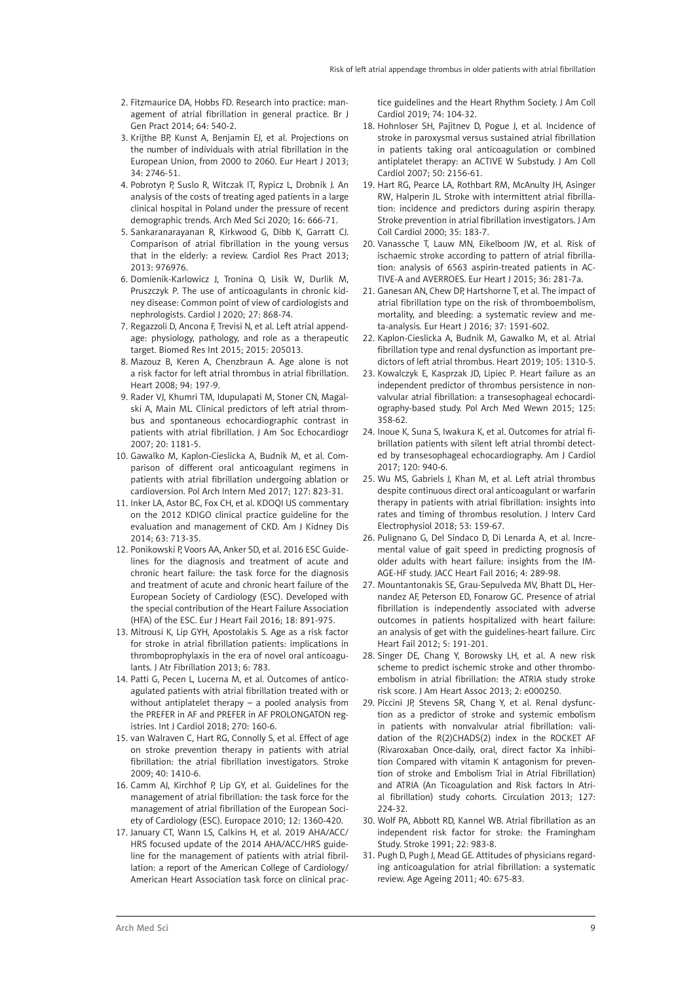- 2. Fitzmaurice DA, Hobbs FD. Research into practice: management of atrial fibrillation in general practice. Br J Gen Pract 2014; 64: 540-2.
- 3. Krijthe BP, Kunst A, Benjamin EJ, et al. Projections on the number of individuals with atrial fibrillation in the European Union, from 2000 to 2060. Eur Heart J 2013; 34: 2746-51.
- 4. Pobrotyn P, Suslo R, Witczak IT, Rypicz L, Drobnik J. An analysis of the costs of treating aged patients in a large clinical hospital in Poland under the pressure of recent demographic trends. Arch Med Sci 2020; 16: 666-71.
- 5. Sankaranarayanan R, Kirkwood G, Dibb K, Garratt CJ. Comparison of atrial fibrillation in the young versus that in the elderly: a review. Cardiol Res Pract 2013; 2013: 976976.
- 6. Domienik-Karlowicz J, Tronina O, Lisik W, Durlik M, Pruszczyk P. The use of anticoagulants in chronic kidney disease: Common point of view of cardiologists and nephrologists. Cardiol J 2020; 27: 868-74.
- 7. Regazzoli D, Ancona F, Trevisi N, et al. Left atrial appendage: physiology, pathology, and role as a therapeutic target. Biomed Res Int 2015; 2015: 205013.
- 8. Mazouz B, Keren A, Chenzbraun A. Age alone is not a risk factor for left atrial thrombus in atrial fibrillation. Heart 2008; 94: 197-9.
- 9. Rader VJ, Khumri TM, Idupulapati M, Stoner CN, Magalski A, Main ML. Clinical predictors of left atrial thrombus and spontaneous echocardiographic contrast in patients with atrial fibrillation. J Am Soc Echocardiogr 2007; 20: 1181-5.
- 10. Gawalko M, Kaplon-Cieslicka A, Budnik M, et al. Comparison of different oral anticoagulant regimens in patients with atrial fibrillation undergoing ablation or cardioversion. Pol Arch Intern Med 2017; 127: 823-31.
- 11. Inker LA, Astor BC, Fox CH, et al. KDOQI US commentary on the 2012 KDIGO clinical practice guideline for the evaluation and management of CKD. Am J Kidney Dis 2014; 63: 713-35.
- 12. Ponikowski P, Voors AA, Anker SD, et al. 2016 ESC Guidelines for the diagnosis and treatment of acute and chronic heart failure: the task force for the diagnosis and treatment of acute and chronic heart failure of the European Society of Cardiology (ESC). Developed with the special contribution of the Heart Failure Association (HFA) of the ESC. Eur J Heart Fail 2016; 18: 891-975.
- 13. Mitrousi K, Lip GYH, Apostolakis S. Age as a risk factor for stroke in atrial fibrillation patients: implications in thromboprophylaxis in the era of novel oral anticoagulants. J Atr Fibrillation 2013; 6: 783.
- 14. Patti G, Pecen L, Lucerna M, et al. Outcomes of anticoagulated patients with atrial fibrillation treated with or without antiplatelet therapy – a pooled analysis from the PREFER in AF and PREFER in AF PROLONGATON registries. Int J Cardiol 2018; 270: 160-6.
- 15. van Walraven C, Hart RG, Connolly S, et al. Effect of age on stroke prevention therapy in patients with atrial fibrillation: the atrial fibrillation investigators. Stroke 2009; 40: 1410-6.
- 16. Camm AJ, Kirchhof P, Lip GY, et al. Guidelines for the management of atrial fibrillation: the task force for the management of atrial fibrillation of the European Society of Cardiology (ESC). Europace 2010; 12: 1360-420.
- 17. January CT, Wann LS, Calkins H, et al. 2019 AHA/ACC/ HRS focused update of the 2014 AHA/ACC/HRS guideline for the management of patients with atrial fibrillation: a report of the American College of Cardiology/ American Heart Association task force on clinical prac-

tice guidelines and the Heart Rhythm Society. J Am Coll Cardiol 2019; 74: 104-32.

- 18. Hohnloser SH, Pajitnev D, Pogue J, et al. Incidence of stroke in paroxysmal versus sustained atrial fibrillation in patients taking oral anticoagulation or combined antiplatelet therapy: an ACTIVE W Substudy. J Am Coll Cardiol 2007; 50: 2156-61.
- 19. Hart RG, Pearce LA, Rothbart RM, McAnulty JH, Asinger RW, Halperin JL. Stroke with intermittent atrial fibrillation: incidence and predictors during aspirin therapy. Stroke prevention in atrial fibrillation investigators. J Am Coll Cardiol 2000; 35: 183-7.
- 20. Vanassche T, Lauw MN, Eikelboom JW, et al. Risk of ischaemic stroke according to pattern of atrial fibrillation: analysis of 6563 aspirin-treated patients in AC-TIVE-A and AVERROES. Eur Heart J 2015; 36: 281-7a.
- 21. Ganesan AN, Chew DP, Hartshorne T, et al. The impact of atrial fibrillation type on the risk of thromboembolism, mortality, and bleeding: a systematic review and meta-analysis. Eur Heart J 2016; 37: 1591-602.
- 22. Kaplon-Cieslicka A, Budnik M, Gawalko M, et al. Atrial fibrillation type and renal dysfunction as important predictors of left atrial thrombus. Heart 2019; 105: 1310-5.
- 23. Kowalczyk E, Kasprzak JD, Lipiec P. Heart failure as an independent predictor of thrombus persistence in nonvalvular atrial fibrillation: a transesophageal echocardiography-based study. Pol Arch Med Wewn 2015; 125: 358-62.
- 24. Inoue K, Suna S, Iwakura K, et al. Outcomes for atrial fibrillation patients with silent left atrial thrombi detected by transesophageal echocardiography. Am J Cardiol 2017; 120: 940-6.
- 25. Wu MS, Gabriels J, Khan M, et al. Left atrial thrombus despite continuous direct oral anticoagulant or warfarin therapy in patients with atrial fibrillation: insights into rates and timing of thrombus resolution. J Interv Card Electrophysiol 2018; 53: 159-67.
- 26. Pulignano G, Del Sindaco D, Di Lenarda A, et al. Incremental value of gait speed in predicting prognosis of older adults with heart failure: insights from the IM-AGE-HF study. JACC Heart Fail 2016; 4: 289-98.
- 27. Mountantonakis SE, Grau-Sepulveda MV, Bhatt DL, Hernandez AF, Peterson ED, Fonarow GC. Presence of atrial fibrillation is independently associated with adverse outcomes in patients hospitalized with heart failure: an analysis of get with the guidelines-heart failure. Circ Heart Fail 2012; 5: 191-201.
- 28. Singer DE, Chang Y, Borowsky LH, et al. A new risk scheme to predict ischemic stroke and other thromboembolism in atrial fibrillation: the ATRIA study stroke risk score. J Am Heart Assoc 2013; 2: e000250.
- 29. Piccini JP, Stevens SR, Chang Y, et al. Renal dysfunction as a predictor of stroke and systemic embolism in patients with nonvalvular atrial fibrillation: validation of the R(2)CHADS(2) index in the ROCKET AF (Rivaroxaban Once-daily, oral, direct factor Xa inhibition Compared with vitamin K antagonism for prevention of stroke and Embolism Trial in Atrial Fibrillation) and ATRIA (An Ticoagulation and Risk factors In Atrial fibrillation) study cohorts. Circulation 2013; 127: 224-32.
- 30. Wolf PA, Abbott RD, Kannel WB. Atrial fibrillation as an independent risk factor for stroke: the Framingham Study. Stroke 1991; 22: 983-8.
- 31. Pugh D, Pugh J, Mead GE. Attitudes of physicians regarding anticoagulation for atrial fibrillation: a systematic review. Age Ageing 2011; 40: 675-83.